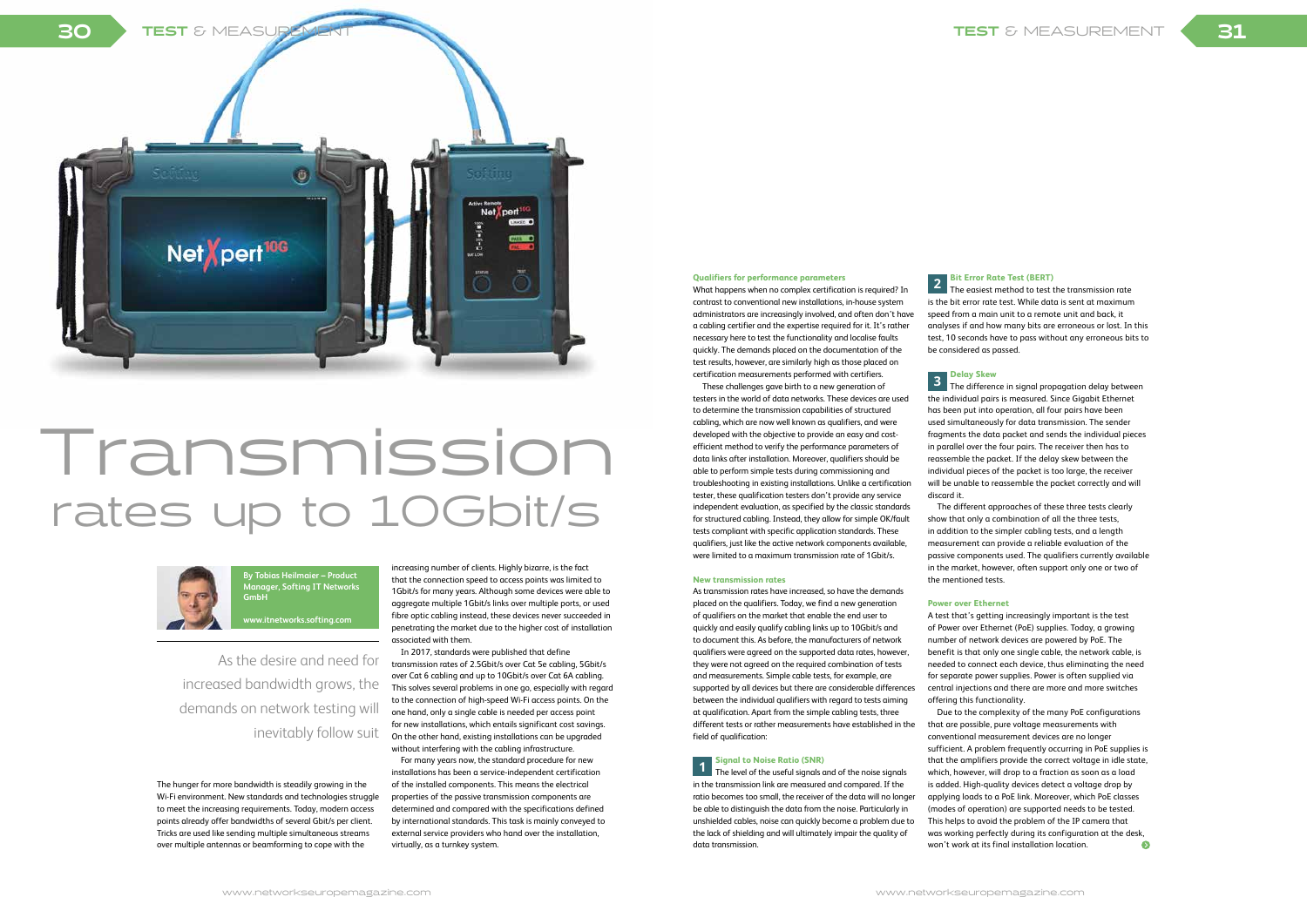As the desire and need for increased bandwidth grows, the demands on network testing will inevitably follow suit

# Transmission rates up to 10Gbit/s

The hunger for more bandwidth is steadily growing in the Wi-Fi environment. New standards and technologies struggle to meet the increasing requirements. Today, modern access points already offer bandwidths of several Gbit/s per client. Tricks are used like sending multiple simultaneous streams over multiple antennas or beamforming to cope with the

# **Qualifiers for performance parameters**

What happens when no complex certification is required? In contrast to conventional new installations, in-house system administrators are increasingly involved, and often don't have a cabling certifier and the expertise required for it. It's rather necessary here to test the functionality and localise faults quickly. The demands placed on the documentation of the test results, however, are similarly high as those placed on certification measurements performed with certifiers.

These challenges gave birth to a new generation of testers in the world of data networks. These devices are used to determine the transmission capabilities of structured cabling, which are now well known as qualifiers, and were developed with the objective to provide an easy and costefficient method to verify the performance parameters of data links after installation. Moreover, qualifiers should be able to perform simple tests during commissioning and troubleshooting in existing installations. Unlike a certification tester, these qualification testers don't provide any service independent evaluation, as specified by the classic standards for structured cabling. Instead, they allow for simple OK/fault tests compliant with specific application standards. These qualifiers, just like the active network components available, were limited to a maximum transmission rate of 1Gbit/s.

## **New transmission rates**

As transmission rates have increased, so have the demands placed on the qualifiers. Today, we find a new generation of qualifiers on the market that enable the end user to quickly and easily qualify cabling links up to 10Gbit/s and to document this. As before, the manufacturers of network qualifiers were agreed on the supported data rates, however, they were not agreed on the required combination of tests and measurements. Simple cable tests, for example, are supported by all devices but there are considerable differences between the individual qualifiers with regard to tests aiming at qualification. Apart from the simple cabling tests, three different tests or rather measurements have established in the field of qualification:

Due to the complexity of the many PoE configurations that are possible, pure voltage measurements with conventional measurement devices are no longer sufficient. A problem frequently occurring in PoE supplies is that the amplifiers provide the correct voltage in idle state, which, however, will drop to a fraction as soon as a load is added. High-quality devices detect a voltage drop by applying loads to a PoE link. Moreover, which PoE classes (modes of operation) are supported needs to be tested. This helps to avoid the problem of the IP camera that was working perfectly during its configuration at the desk, won't work at its final installation location.  $\bullet$ 

**1 Signal to Noise Ratio (SNR)** The level of the useful signals and of the noise signals in the transmission link are measured and compared. If the ratio becomes too small, the receiver of the data will no longer be able to distinguish the data from the noise. Particularly in unshielded cables, noise can quickly become a problem due to the lack of shielding and will ultimately impair the quality of data transmission.

**2 Bit Error Rate Test (BERT)** The easiest method to test the transmission rate is the bit error rate test. While data is sent at maximum speed from a main unit to a remote unit and back, it analyses if and how many bits are erroneous or lost. In this test, 10 seconds have to pass without any erroneous bits to

be considered as passed.

**<sup>3</sup> Delay Skew** The difference in signal propagation delay between the individual pairs is measured. Since Gigabit Ethernet has been put into operation, all four pairs have been used simultaneously for data transmission. The sender fragments the data packet and sends the individual pieces in parallel over the four pairs. The receiver then has to reassemble the packet. If the delay skew between the individual pieces of the packet is too large, the receiver will be unable to reassemble the packet correctly and will

discard it.

The different approaches of these three tests clearly show that only a combination of all the three tests, in addition to the simpler cabling tests, and a length measurement can provide a reliable evaluation of the passive components used. The qualifiers currently available in the market, however, often support only one or two of

the mentioned tests.

# **Power over Ethernet**

A test that's getting increasingly important is the test of Power over Ethernet (PoE) supplies. Today, a growing number of network devices are powered by PoE. The benefit is that only one single cable, the network cable, is needed to connect each device, thus eliminating the need for separate power supplies. Power is often supplied via central injections and there are more and more switches offering this functionality.

increasing number of clients. Highly bizarre, is the fact that the connection speed to access points was limited to 1Gbit/s for many years. Although some devices were able to aggregate multiple 1Gbit/s links over multiple ports, or used fibre optic cabling instead, these devices never succeeded in penetrating the market due to the higher cost of installation associated with them.

In 2017, standards were published that define transmission rates of 2.5Gbit/s over Cat 5e cabling, 5Gbit/s over Cat 6 cabling and up to 10Gbit/s over Cat 6A cabling. This solves several problems in one go, especially with regard to the connection of high-speed Wi-Fi access points. On the one hand, only a single cable is needed per access point for new installations, which entails significant cost savings. On the other hand, existing installations can be upgraded without interfering with the cabling infrastructure.

For many years now, the standard procedure for new installations has been a service-independent certification of the installed components. This means the electrical properties of the passive transmission components are determined and compared with the specifications defined by international standards. This task is mainly conveyed to external service providers who hand over the installation, virtually, as a turnkey system.



# 31